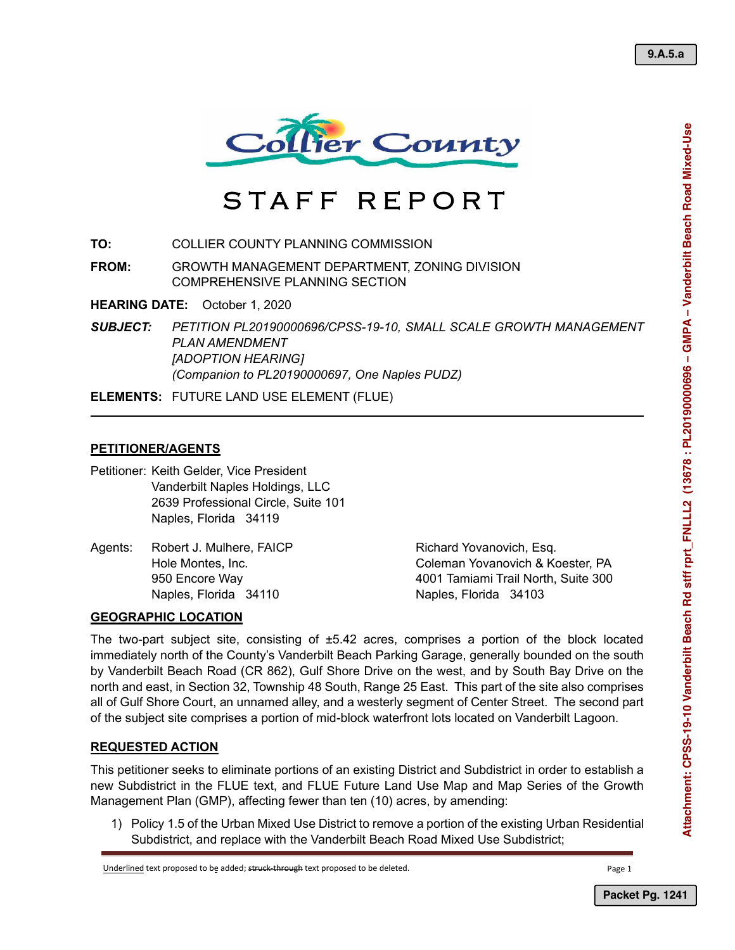

# STAFF REPORT

**TO:** COLLIER COUNTY PLANNING COMMISSION

**FROM:** GROWTH MANAGEMENT DEPARTMENT, ZONING DIVISION COMPREHENSIVE PLANNING SECTION

**HEARING DATE:** October 1, 2020

*SUBJECT: PETITION PL20190000696/CPSS-19-10, SMALL SCALE GROWTH MANAGEMENT PLAN AMENDMENT [ADOPTION HEARING] (Companion to PL20190000697, One Naples PUDZ)* 

**ELEMENTS:** FUTURE LAND USE ELEMENT (FLUE)

## **PETITIONER/AGENTS**

Petitioner: Keith Gelder, Vice President Vanderbilt Naples Holdings, LLC 2639 Professional Circle, Suite 101 Naples, Florida 34119

Agents: Robert J. Mulhere, FAICP Research Richard Yovanovich, Esq. Naples, Florida 34110 Naples, Florida 34103

Hole Montes, Inc. Coleman Yovanovich & Koester, PA 950 Encore Way 4001 Tamiami Trail North, Suite 300

# **GEOGRAPHIC LOCATION**

The two-part subject site, consisting of ±5.42 acres, comprises a portion of the block located immediately north of the County's Vanderbilt Beach Parking Garage, generally bounded on the south by Vanderbilt Beach Road (CR 862), Gulf Shore Drive on the west, and by South Bay Drive on the north and east, in Section 32, Township 48 South, Range 25 East. This part of the site also comprises all of Gulf Shore Court, an unnamed alley, and a westerly segment of Center Street. The second part of the subject site comprises a portion of mid-block waterfront lots located on Vanderbilt Lagoon.

## **REQUESTED ACTION**

This petitioner seeks to eliminate portions of an existing District and Subdistrict in order to establish a new Subdistrict in the FLUE text, and FLUE Future Land Use Map and Map Series of the Growth Management Plan (GMP), affecting fewer than ten (10) acres, by amending:

1) Policy 1.5 of the Urban Mixed Use District to remove a portion of the existing Urban Residential Subdistrict, and replace with the Vanderbilt Beach Road Mixed Use Subdistrict;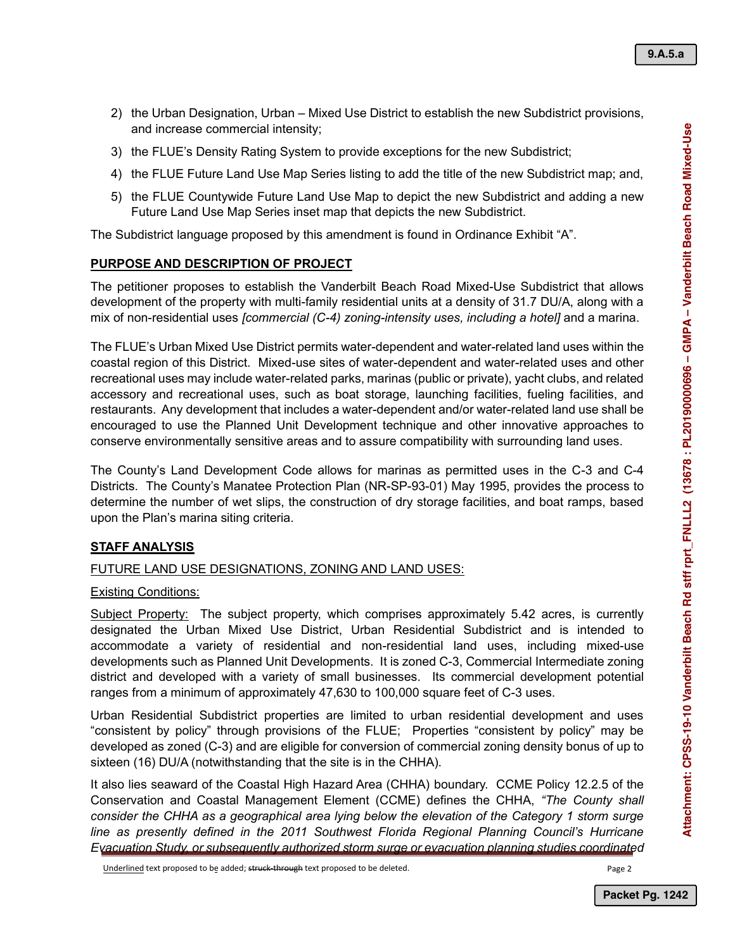- 2) the Urban Designation, Urban Mixed Use District to establish the new Subdistrict provisions, and increase commercial intensity;
- 3) the FLUE's Density Rating System to provide exceptions for the new Subdistrict;
- 4) the FLUE Future Land Use Map Series listing to add the title of the new Subdistrict map; and,
- 5) the FLUE Countywide Future Land Use Map to depict the new Subdistrict and adding a new Future Land Use Map Series inset map that depicts the new Subdistrict.

The Subdistrict language proposed by this amendment is found in Ordinance Exhibit "A".

## **PURPOSE AND DESCRIPTION OF PROJECT**

The petitioner proposes to establish the Vanderbilt Beach Road Mixed-Use Subdistrict that allows development of the property with multi-family residential units at a density of 31.7 DU/A, along with a mix of non-residential uses *[commercial (C-4) zoning-intensity uses, including a hotel]* and a marina.

The FLUE's Urban Mixed Use District permits water-dependent and water-related land uses within the coastal region of this District. Mixed-use sites of water-dependent and water-related uses and other recreational uses may include water-related parks, marinas (public or private), yacht clubs, and related accessory and recreational uses, such as boat storage, launching facilities, fueling facilities, and restaurants. Any development that includes a water-dependent and/or water-related land use shall be encouraged to use the Planned Unit Development technique and other innovative approaches to conserve environmentally sensitive areas and to assure compatibility with surrounding land uses.

The County's Land Development Code allows for marinas as permitted uses in the C-3 and C-4 Districts. The County's Manatee Protection Plan (NR-SP-93-01) May 1995, provides the process to determine the number of wet slips, the construction of dry storage facilities, and boat ramps, based upon the Plan's marina siting criteria.

# **STAFF ANALYSIS**

## FUTURE LAND USE DESIGNATIONS, ZONING AND LAND USES:

## Existing Conditions:

Subject Property: The subject property, which comprises approximately 5.42 acres, is currently designated the Urban Mixed Use District, Urban Residential Subdistrict and is intended to accommodate a variety of residential and non-residential land uses, including mixed-use developments such as Planned Unit Developments. It is zoned C-3, Commercial Intermediate zoning district and developed with a variety of small businesses. Its commercial development potential ranges from a minimum of approximately 47,630 to 100,000 square feet of C-3 uses.

Urban Residential Subdistrict properties are limited to urban residential development and uses "consistent by policy" through provisions of the FLUE; Properties "consistent by policy" may be developed as zoned (C-3) and are eligible for conversion of commercial zoning density bonus of up to sixteen (16) DU/A (notwithstanding that the site is in the CHHA).

It also lies seaward of the Coastal High Hazard Area (CHHA) boundary. CCME Policy 12.2.5 of the Conservation and Coastal Management Element (CCME) defines the CHHA, *"The County shall consider the CHHA as a geographical area lying below the elevation of the Category 1 storm surge*  line as presently defined in the 2011 Southwest Florida Regional Planning Council's Hurricane *Evacuation Study, or subsequently authorized storm surge or evacuation planning studies coordinated*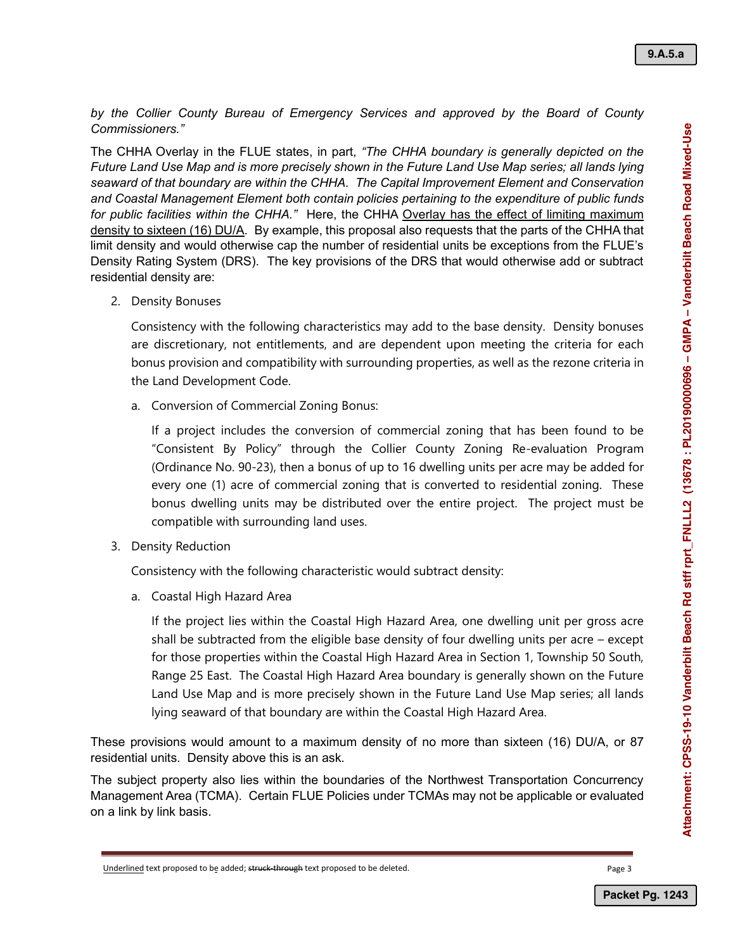*by the Collier County Bureau of Emergency Services and approved by the Board of County Commissioners."*

The CHHA Overlay in the FLUE states, in part, *"The CHHA boundary is generally depicted on the Future Land Use Map and is more precisely shown in the Future Land Use Map series; all lands lying seaward of that boundary are within the CHHA. The Capital Improvement Element and Conservation and Coastal Management Element both contain policies pertaining to the expenditure of public funds for public facilities within the CHHA."* Here, the CHHA Overlay has the effect of limiting maximum density to sixteen (16) DU/A. By example, this proposal also requests that the parts of the CHHA that limit density and would otherwise cap the number of residential units be exceptions from the FLUE's Density Rating System (DRS). The key provisions of the DRS that would otherwise add or subtract residential density are:

2. Density Bonuses

Consistency with the following characteristics may add to the base density. Density bonuses are discretionary, not entitlements, and are dependent upon meeting the criteria for each bonus provision and compatibility with surrounding properties, as well as the rezone criteria in the Land Development Code.

a. Conversion of Commercial Zoning Bonus:

If a project includes the conversion of commercial zoning that has been found to be "Consistent By Policy" through the Collier County Zoning Re-evaluation Program (Ordinance No. 90-23), then a bonus of up to 16 dwelling units per acre may be added for every one (1) acre of commercial zoning that is converted to residential zoning. These bonus dwelling units may be distributed over the entire project. The project must be compatible with surrounding land uses.

3. Density Reduction

Consistency with the following characteristic would subtract density:

a. Coastal High Hazard Area

If the project lies within the Coastal High Hazard Area, one dwelling unit per gross acre shall be subtracted from the eligible base density of four dwelling units per acre – except for those properties within the Coastal High Hazard Area in Section 1, Township 50 South, Range 25 East. The Coastal High Hazard Area boundary is generally shown on the Future Land Use Map and is more precisely shown in the Future Land Use Map series; all lands lying seaward of that boundary are within the Coastal High Hazard Area.

These provisions would amount to a maximum density of no more than sixteen (16) DU/A, or 87 residential units. Density above this is an ask.

The subject property also lies within the boundaries of the Northwest Transportation Concurrency Management Area (TCMA). Certain FLUE Policies under TCMAs may not be applicable or evaluated on a link by link basis.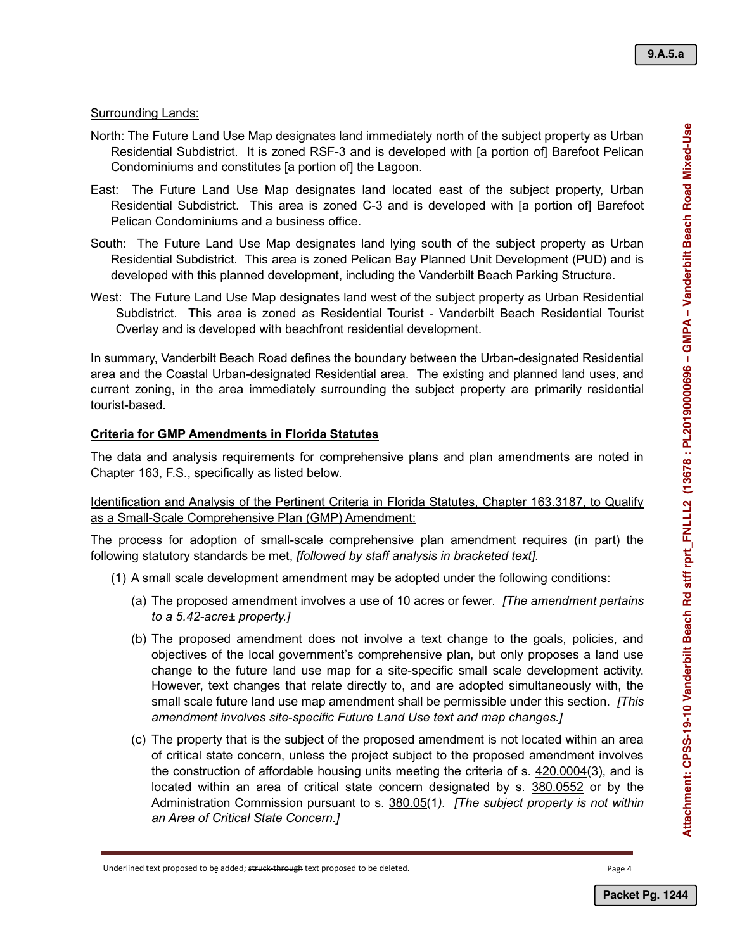**9.A.5.a**

#### Surrounding Lands:

- North: The Future Land Use Map designates land immediately north of the subject property as Urban Residential Subdistrict. It is zoned RSF-3 and is developed with [a portion of] Barefoot Pelican Condominiums and constitutes [a portion of] the Lagoon.
- East: The Future Land Use Map designates land located east of the subject property, Urban Residential Subdistrict. This area is zoned C-3 and is developed with [a portion of] Barefoot Pelican Condominiums and a business office.
- South: The Future Land Use Map designates land lying south of the subject property as Urban Residential Subdistrict. This area is zoned Pelican Bay Planned Unit Development (PUD) and is developed with this planned development, including the Vanderbilt Beach Parking Structure.
- West: The Future Land Use Map designates land west of the subject property as Urban Residential Subdistrict. This area is zoned as Residential Tourist - Vanderbilt Beach Residential Tourist Overlay and is developed with beachfront residential development.

In summary, Vanderbilt Beach Road defines the boundary between the Urban-designated Residential area and the Coastal Urban-designated Residential area. The existing and planned land uses, and current zoning, in the area immediately surrounding the subject property are primarily residential tourist-based.

## **Criteria for GMP Amendments in Florida Statutes**

The data and analysis requirements for comprehensive plans and plan amendments are noted in Chapter 163, F.S., specifically as listed below.

Identification and Analysis of the Pertinent Criteria in Florida Statutes, Chapter 163.3187, to Qualify as a Small-Scale Comprehensive Plan (GMP) Amendment:

The process for adoption of small-scale comprehensive plan amendment requires (in part) the following statutory standards be met, *[followed by staff analysis in bracketed text].*

- (1) A small scale development amendment may be adopted under the following conditions:
	- (a) The proposed amendment involves a use of 10 acres or fewer. *[The amendment pertains to a 5.42-acre± property.]*
- (b) The proposed amendment does not involve a text change to the goals, policies, and objectives of the local government's comprehensive plan, but only proposes a land use change to the future land use map for a site-specific small scale development activity. However, text changes that relate directly to, and are adopted simultaneously with, the small scale future land use map amendment shall be permissible under this section. *[This amendment involves site-specific Future Land Use text and map changes.]* **Packet Pg. 1244**<br>
Packet Pg. 1244<br>
Packet Pg. 1244<br>
Packet Pg. 1244<br>
Packet Pg. 1244<br>
Packet Pg. 1244<br>
Packet Pg. 1244<br>
Packet Pg. 1244<br>
Packet Pg. 1244<br>
Packet Pg. 1244<br>
Packet Pg. 1244<br>
Packet Pg. 1244<br>
Packet Pg. 1244<br>
	- (c) The property that is the subject of the proposed amendment is not located within an area of critical state concern, unless the project subject to the proposed amendment involves the construction of affordable housing units meeting the criteria of s. 420.0004(3), and is located within an area of critical state concern designated by s. 380.0552 or by the Administration Commission pursuant to s. 380.05(1*). [The subject property is not within an Area of Critical State Concern.]*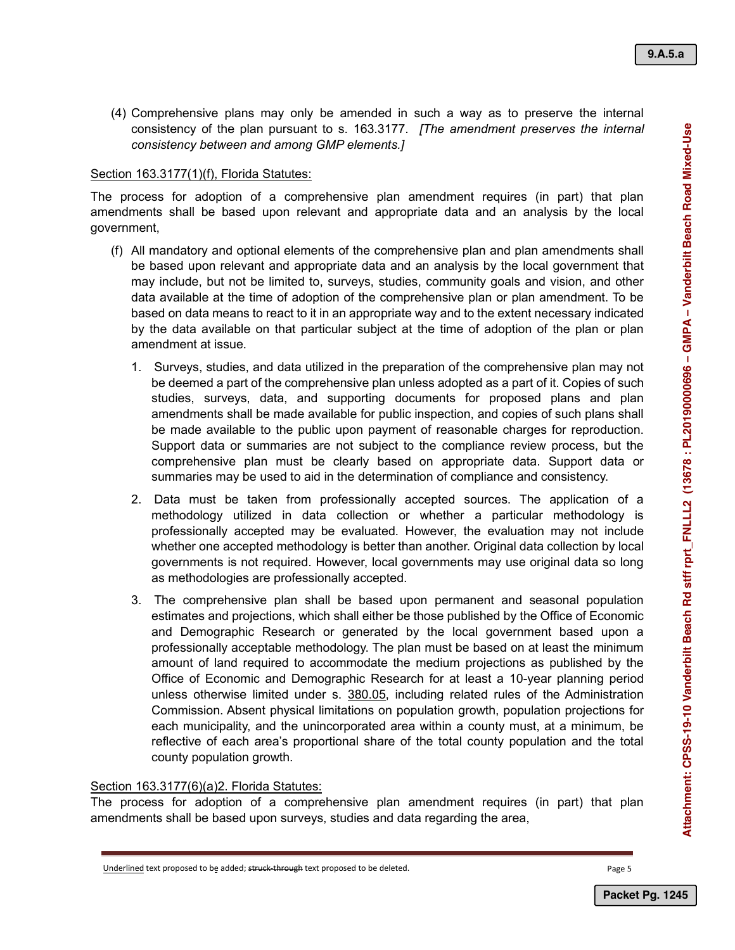(4) Comprehensive plans may only be amended in such a way as to preserve the internal consistency of the plan pursuant to s. 163.3177. *[The amendment preserves the internal consistency between and among GMP elements.]*

#### Section 163.3177(1)(f), Florida Statutes:

The process for adoption of a comprehensive plan amendment requires (in part) that plan amendments shall be based upon relevant and appropriate data and an analysis by the local government,

- (f) All mandatory and optional elements of the comprehensive plan and plan amendments shall be based upon relevant and appropriate data and an analysis by the local government that may include, but not be limited to, surveys, studies, community goals and vision, and other data available at the time of adoption of the comprehensive plan or plan amendment. To be based on data means to react to it in an appropriate way and to the extent necessary indicated by the data available on that particular subject at the time of adoption of the plan or plan amendment at issue.
	- 1. Surveys, studies, and data utilized in the preparation of the comprehensive plan may not be deemed a part of the comprehensive plan unless adopted as a part of it. Copies of such studies, surveys, data, and supporting documents for proposed plans and plan amendments shall be made available for public inspection, and copies of such plans shall be made available to the public upon payment of reasonable charges for reproduction. Support data or summaries are not subject to the compliance review process, but the comprehensive plan must be clearly based on appropriate data. Support data or summaries may be used to aid in the determination of compliance and consistency.
	- 2. Data must be taken from professionally accepted sources. The application of a methodology utilized in data collection or whether a particular methodology is professionally accepted may be evaluated. However, the evaluation may not include whether one accepted methodology is better than another. Original data collection by local governments is not required. However, local governments may use original data so long as methodologies are professionally accepted.
	- 3. The comprehensive plan shall be based upon permanent and seasonal population estimates and projections, which shall either be those published by the Office of Economic and Demographic Research or generated by the local government based upon a professionally acceptable methodology. The plan must be based on at least the minimum amount of land required to accommodate the medium projections as published by the Office of Economic and Demographic Research for at least a 10-year planning period unless otherwise limited under s. 380.05, including related rules of the Administration Commission. Absent physical limitations on population growth, population projections for each municipality, and the unincorporated area within a county must, at a minimum, be reflective of each area's proportional share of the total county population and the total county population growth.

#### Section 163.3177(6)(a)2. Florida Statutes:

The process for adoption of a comprehensive plan amendment requires (in part) that plan amendments shall be based upon surveys, studies and data regarding the area,

Underlined text proposed to be added; struck-through text proposed to be deleted.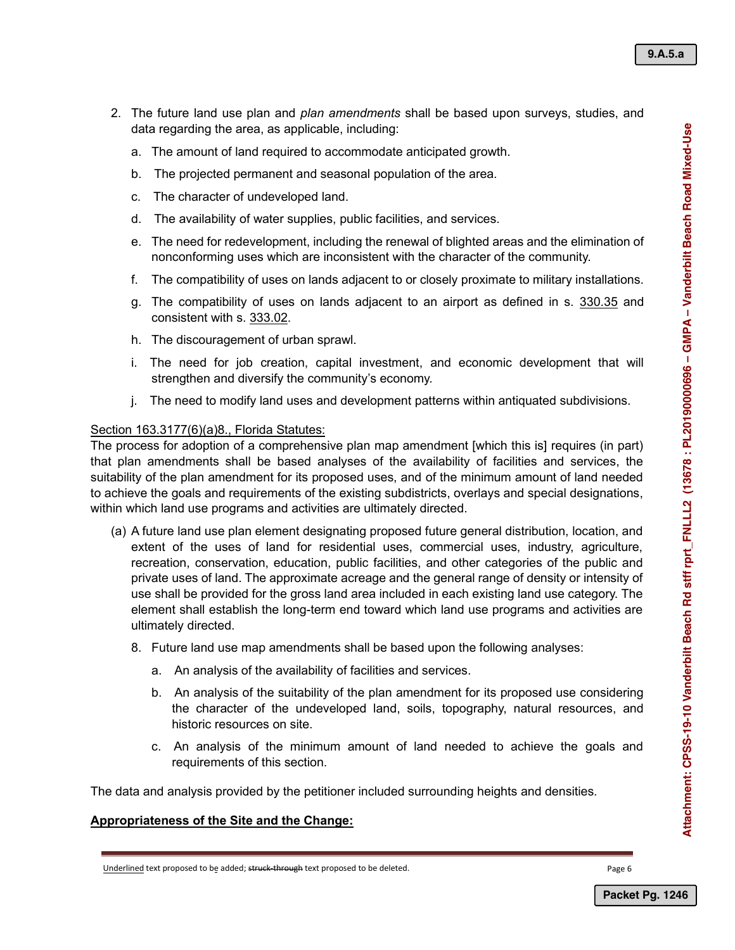- 2. The future land use plan and *plan amendments* shall be based upon surveys, studies, and data regarding the area, as applicable, including:
	- a. The amount of land required to accommodate anticipated growth.
	- b. The projected permanent and seasonal population of the area.
	- c. The character of undeveloped land.
	- d. The availability of water supplies, public facilities, and services.
	- e. The need for redevelopment, including the renewal of blighted areas and the elimination of nonconforming uses which are inconsistent with the character of the community.
	- f. The compatibility of uses on lands adjacent to or closely proximate to military installations.
	- g. The compatibility of uses on lands adjacent to an airport as defined in s. 330.35 and consistent with s. 333.02.
	- h. The discouragement of urban sprawl.
	- i. The need for job creation, capital investment, and economic development that will strengthen and diversify the community's economy.
	- j. The need to modify land uses and development patterns within antiquated subdivisions.

#### Section 163.3177(6)(a)8., Florida Statutes:

The process for adoption of a comprehensive plan map amendment [which this is] requires (in part) that plan amendments shall be based analyses of the availability of facilities and services, the suitability of the plan amendment for its proposed uses, and of the minimum amount of land needed to achieve the goals and requirements of the existing subdistricts, overlays and special designations, within which land use programs and activities are ultimately directed.

- (a) A future land use plan element designating proposed future general distribution, location, and extent of the uses of land for residential uses, commercial uses, industry, agriculture, recreation, conservation, education, public facilities, and other categories of the public and private uses of land. The approximate acreage and the general range of density or intensity of use shall be provided for the gross land area included in each existing land use category. The element shall establish the long-term end toward which land use programs and activities are ultimately directed.
	- 8. Future land use map amendments shall be based upon the following analyses:
		- a. An analysis of the availability of facilities and services.
		- b. An analysis of the suitability of the plan amendment for its proposed use considering the character of the undeveloped land, soils, topography, natural resources, and historic resources on site.
		- c. An analysis of the minimum amount of land needed to achieve the goals and requirements of this section.

The data and analysis provided by the petitioner included surrounding heights and densities.

#### **Appropriateness of the Site and the Change:**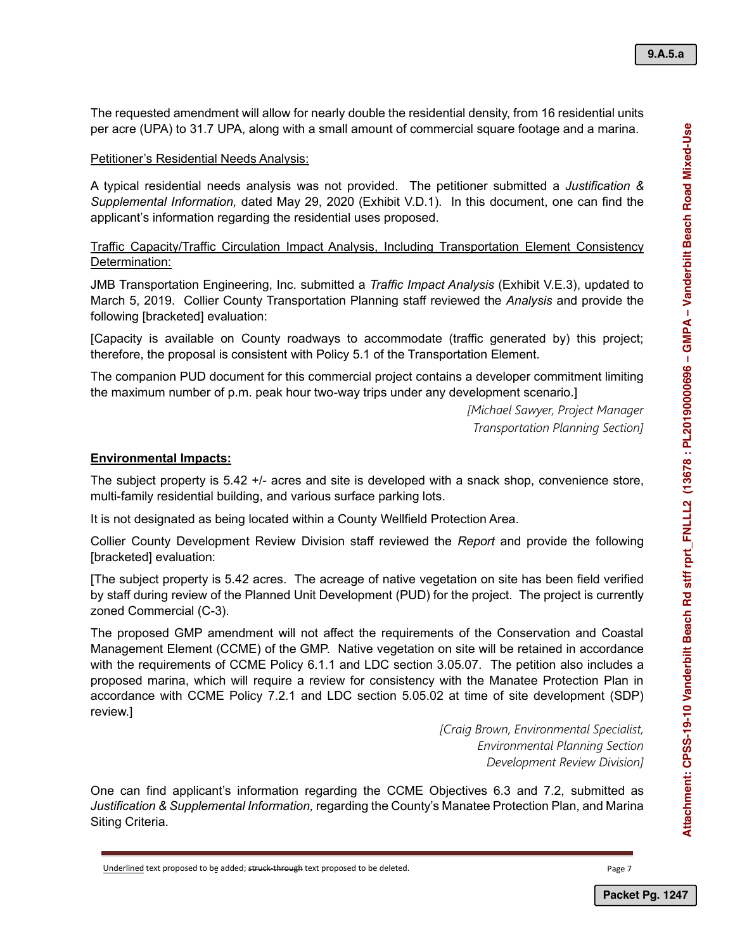The requested amendment will allow for nearly double the residential density, from 16 residential units per acre (UPA) to 31.7 UPA, along with a small amount of commercial square footage and a marina.

#### Petitioner's Residential Needs Analysis:

A typical residential needs analysis was not provided. The petitioner submitted a *Justification & Supplemental Information,* dated May 29, 2020 (Exhibit V.D.1). In this document, one can find the applicant's information regarding the residential uses proposed.

Traffic Capacity/Traffic Circulation Impact Analysis, Including Transportation Element Consistency Determination:

JMB Transportation Engineering, Inc. submitted a *Traffic Impact Analysis* (Exhibit V.E.3), updated to March 5, 2019. Collier County Transportation Planning staff reviewed the *Analysis* and provide the following [bracketed] evaluation:

[Capacity is available on County roadways to accommodate (traffic generated by) this project; therefore, the proposal is consistent with Policy 5.1 of the Transportation Element.

The companion PUD document for this commercial project contains a developer commitment limiting the maximum number of p.m. peak hour two-way trips under any development scenario.]

> *[Michael Sawyer, Project Manager Transportation Planning Section]*

#### **Environmental Impacts:**

The subject property is 5.42 +/- acres and site is developed with a snack shop, convenience store, multi-family residential building, and various surface parking lots.

It is not designated as being located within a County Wellfield Protection Area.

Collier County Development Review Division staff reviewed the *Report* and provide the following [bracketed] evaluation:

[The subject property is 5.42 acres. The acreage of native vegetation on site has been field verified by staff during review of the Planned Unit Development (PUD) for the project. The project is currently zoned Commercial (C-3).

The proposed GMP amendment will not affect the requirements of the Conservation and Coastal Management Element (CCME) of the GMP. Native vegetation on site will be retained in accordance with the requirements of CCME Policy 6.1.1 and LDC section 3.05.07. The petition also includes a proposed marina, which will require a review for consistency with the Manatee Protection Plan in accordance with CCME Policy 7.2.1 and LDC section 5.05.02 at time of site development (SDP) review.]

> *[Craig Brown, Environmental Specialist, Environmental Planning Section Development Review Division]*

One can find applicant's information regarding the CCME Objectives 6.3 and 7.2, submitted as *Justification & Supplemental Information,* regarding the County's Manatee Protection Plan, and Marina Siting Criteria.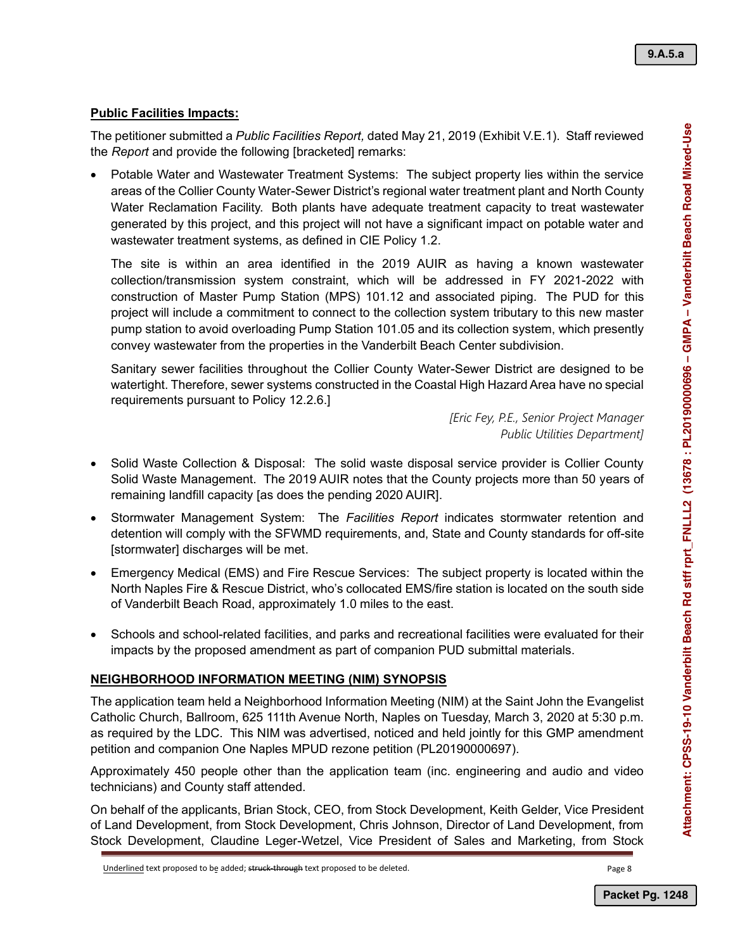**9.A.5.a**

## **Public Facilities Impacts:**

The petitioner submitted a *Public Facilities Report,* dated May 21, 2019 (Exhibit V.E.1). Staff reviewed the *Report* and provide the following [bracketed] remarks:

• Potable Water and Wastewater Treatment Systems: The subject property lies within the service areas of the Collier County Water-Sewer District's regional water treatment plant and North County Water Reclamation Facility. Both plants have adequate treatment capacity to treat wastewater generated by this project, and this project will not have a significant impact on potable water and wastewater treatment systems, as defined in CIE Policy 1.2.

The site is within an area identified in the 2019 AUIR as having a known wastewater collection/transmission system constraint, which will be addressed in FY 2021-2022 with construction of Master Pump Station (MPS) 101.12 and associated piping. The PUD for this project will include a commitment to connect to the collection system tributary to this new master pump station to avoid overloading Pump Station 101.05 and its collection system, which presently convey wastewater from the properties in the Vanderbilt Beach Center subdivision.

Sanitary sewer facilities throughout the Collier County Water-Sewer District are designed to be watertight. Therefore, sewer systems constructed in the Coastal High Hazard Area have no special requirements pursuant to Policy 12.2.6.]

> *[Eric Fey, P.E., Senior Project Manager Public Utilities Department]*

- Solid Waste Collection & Disposal: The solid waste disposal service provider is Collier County Solid Waste Management. The 2019 AUIR notes that the County projects more than 50 years of remaining landfill capacity [as does the pending 2020 AUIR].
- Stormwater Management System: The *Facilities Report* indicates stormwater retention and detention will comply with the SFWMD requirements, and, State and County standards for off-site [stormwater] discharges will be met.
- Emergency Medical (EMS) and Fire Rescue Services: The subject property is located within the North Naples Fire & Rescue District, who's collocated EMS/fire station is located on the south side of Vanderbilt Beach Road, approximately 1.0 miles to the east.
- Schools and school-related facilities, and parks and recreational facilities were evaluated for their impacts by the proposed amendment as part of companion PUD submittal materials.

## **NEIGHBORHOOD INFORMATION MEETING (NIM) SYNOPSIS**

The application team held a Neighborhood Information Meeting (NIM) at the Saint John the Evangelist Catholic Church, Ballroom, 625 111th Avenue North, Naples on Tuesday, March 3, 2020 at 5:30 p.m. as required by the LDC. This NIM was advertised, noticed and held jointly for this GMP amendment petition and companion One Naples MPUD rezone petition (PL20190000697).

Approximately 450 people other than the application team (inc. engineering and audio and video technicians) and County staff attended.

On behalf of the applicants, Brian Stock, CEO, from Stock Development, Keith Gelder, Vice President of Land Development, from Stock Development, Chris Johnson, Director of Land Development, from Stock Development, Claudine Leger-Wetzel, Vice President of Sales and Marketing, from Stock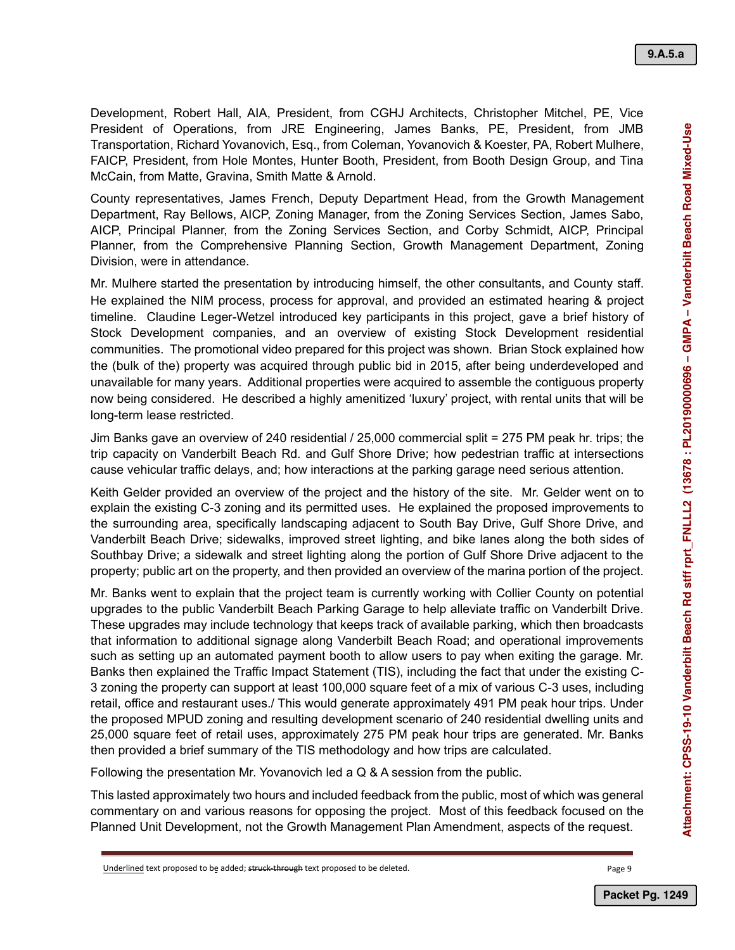Development, Robert Hall, AIA, President, from CGHJ Architects, Christopher Mitchel, PE, Vice President of Operations, from JRE Engineering, James Banks, PE, President, from JMB Transportation, Richard Yovanovich, Esq., from Coleman, Yovanovich & Koester, PA, Robert Mulhere, FAICP, President, from Hole Montes, Hunter Booth, President, from Booth Design Group, and Tina McCain, from Matte, Gravina, Smith Matte & Arnold.

County representatives, James French, Deputy Department Head, from the Growth Management Department, Ray Bellows, AICP, Zoning Manager, from the Zoning Services Section, James Sabo, AICP, Principal Planner, from the Zoning Services Section, and Corby Schmidt, AICP, Principal Planner, from the Comprehensive Planning Section, Growth Management Department, Zoning Division, were in attendance.

Mr. Mulhere started the presentation by introducing himself, the other consultants, and County staff. He explained the NIM process, process for approval, and provided an estimated hearing & project timeline. Claudine Leger-Wetzel introduced key participants in this project, gave a brief history of Stock Development companies, and an overview of existing Stock Development residential communities. The promotional video prepared for this project was shown. Brian Stock explained how the (bulk of the) property was acquired through public bid in 2015, after being underdeveloped and unavailable for many years. Additional properties were acquired to assemble the contiguous property now being considered. He described a highly amenitized 'luxury' project, with rental units that will be long-term lease restricted.

Jim Banks gave an overview of 240 residential / 25,000 commercial split = 275 PM peak hr. trips; the trip capacity on Vanderbilt Beach Rd. and Gulf Shore Drive; how pedestrian traffic at intersections cause vehicular traffic delays, and; how interactions at the parking garage need serious attention.

Keith Gelder provided an overview of the project and the history of the site. Mr. Gelder went on to explain the existing C-3 zoning and its permitted uses. He explained the proposed improvements to the surrounding area, specifically landscaping adjacent to South Bay Drive, Gulf Shore Drive, and Vanderbilt Beach Drive; sidewalks, improved street lighting, and bike lanes along the both sides of Southbay Drive; a sidewalk and street lighting along the portion of Gulf Shore Drive adjacent to the property; public art on the property, and then provided an overview of the marina portion of the project.

Mr. Banks went to explain that the project team is currently working with Collier County on potential upgrades to the public Vanderbilt Beach Parking Garage to help alleviate traffic on Vanderbilt Drive. These upgrades may include technology that keeps track of available parking, which then broadcasts that information to additional signage along Vanderbilt Beach Road; and operational improvements such as setting up an automated payment booth to allow users to pay when exiting the garage. Mr. Banks then explained the Traffic Impact Statement (TIS), including the fact that under the existing C-3 zoning the property can support at least 100,000 square feet of a mix of various C-3 uses, including retail, office and restaurant uses./ This would generate approximately 491 PM peak hour trips. Under the proposed MPUD zoning and resulting development scenario of 240 residential dwelling units and 25,000 square feet of retail uses, approximately 275 PM peak hour trips are generated. Mr. Banks then provided a brief summary of the TIS methodology and how trips are calculated.

Following the presentation Mr. Yovanovich led a Q & A session from the public.

This lasted approximately two hours and included feedback from the public, most of which was general commentary on and various reasons for opposing the project. Most of this feedback focused on the Planned Unit Development, not the Growth Management Plan Amendment, aspects of the request.

Underlined text proposed to be added; struck-through text proposed to be deleted.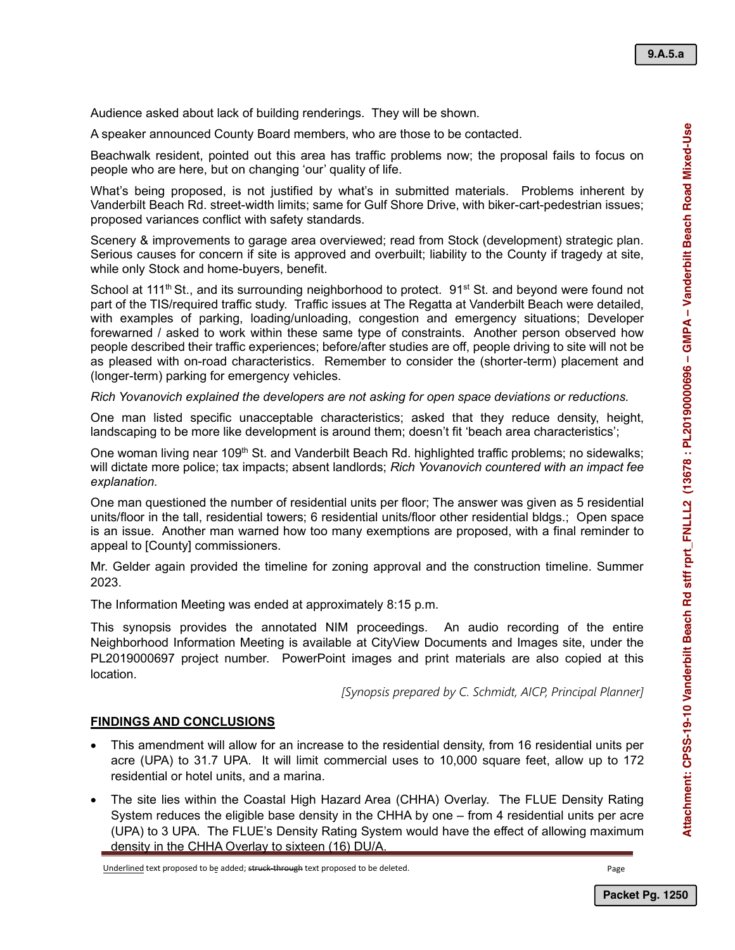**9.A.5.a**

Audience asked about lack of building renderings. They will be shown.

A speaker announced County Board members, who are those to be contacted.

Beachwalk resident, pointed out this area has traffic problems now; the proposal fails to focus on people who are here, but on changing 'our' quality of life.

What's being proposed, is not justified by what's in submitted materials. Problems inherent by Vanderbilt Beach Rd. street-width limits; same for Gulf Shore Drive, with biker-cart-pedestrian issues; proposed variances conflict with safety standards.

Scenery & improvements to garage area overviewed; read from Stock (development) strategic plan. Serious causes for concern if site is approved and overbuilt; liability to the County if tragedy at site, while only Stock and home-buyers, benefit.

School at 111<sup>th</sup> St., and its surrounding neighborhood to protect.  $91<sup>st</sup>$  St. and beyond were found not part of the TIS/required traffic study. Traffic issues at The Regatta at Vanderbilt Beach were detailed, with examples of parking, loading/unloading, congestion and emergency situations; Developer forewarned / asked to work within these same type of constraints. Another person observed how people described their traffic experiences; before/after studies are off, people driving to site will not be as pleased with on-road characteristics. Remember to consider the (shorter-term) placement and (longer-term) parking for emergency vehicles.

*Rich Yovanovich explained the developers are not asking for open space deviations or reductions.*

One man listed specific unacceptable characteristics; asked that they reduce density, height, landscaping to be more like development is around them; doesn't fit 'beach area characteristics';

One woman living near 109<sup>th</sup> St. and Vanderbilt Beach Rd. highlighted traffic problems; no sidewalks; will dictate more police; tax impacts; absent landlords; *Rich Yovanovich countered with an impact fee explanation.*

One man questioned the number of residential units per floor; The answer was given as 5 residential units/floor in the tall, residential towers; 6 residential units/floor other residential bldgs.; Open space is an issue. Another man warned how too many exemptions are proposed, with a final reminder to appeal to [County] commissioners.

Mr. Gelder again provided the timeline for zoning approval and the construction timeline. Summer 2023.

The Information Meeting was ended at approximately 8:15 p.m.

This synopsis provides the annotated NIM proceedings. An audio recording of the entire Neighborhood Information Meeting is available at CityView Documents and Images site, under the PL2019000697 project number. PowerPoint images and print materials are also copied at this location.

*[Synopsis prepared by C. Schmidt, AICP, Principal Planner]*

#### **FINDINGS AND CONCLUSIONS**

- This amendment will allow for an increase to the residential density, from 16 residential units per acre (UPA) to 31.7 UPA. It will limit commercial uses to 10,000 square feet, allow up to 172 residential or hotel units, and a marina.
- The site lies within the Coastal High Hazard Area (CHHA) Overlay. The FLUE Density Rating System reduces the eligible base density in the CHHA by one – from 4 residential units per acre (UPA) to 3 UPA. The FLUE's Density Rating System would have the effect of allowing maximum density in the CHHA Overlay to sixteen (16) DU/A.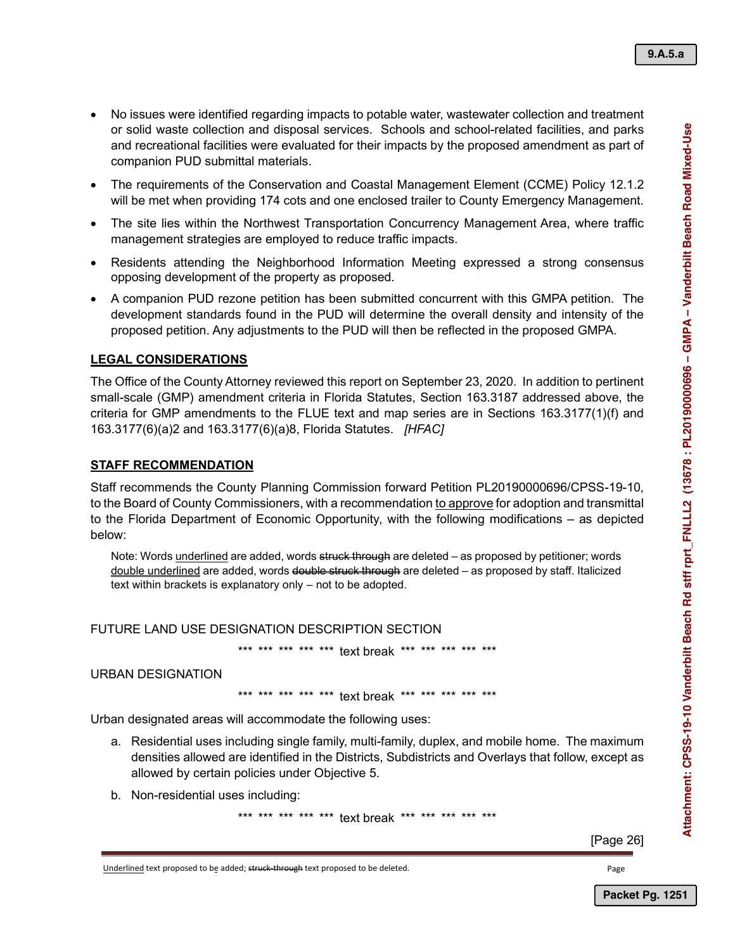- No issues were identified regarding impacts to potable water, wastewater collection and treatment or solid waste collection and disposal services. Schools and school-related facilities, and parks and recreational facilities were evaluated for their impacts by the proposed amendment as part of companion PUD submittal materials.
- The requirements of the Conservation and Coastal Management Element (CCME) Policy 12.1.2 will be met when providing 174 cots and one enclosed trailer to County Emergency Management.
- The site lies within the Northwest Transportation Concurrency Management Area, where traffic management strategies are employed to reduce traffic impacts.
- Residents attending the Neighborhood Information Meeting expressed a strong consensus opposing development of the property as proposed.
- A companion PUD rezone petition has been submitted concurrent with this GMPA petition. The development standards found in the PUD will determine the overall density and intensity of the proposed petition. Any adjustments to the PUD will then be reflected in the proposed GMPA.

## **LEGAL CONSIDERATIONS**

The Office of the County Attorney reviewed this report on September 23, 2020. In addition to pertinent small-scale (GMP) amendment criteria in Florida Statutes, Section 163.3187 addressed above, the criteria for GMP amendments to the FLUE text and map series are in Sections 163.3177(1)(f) and 163.3177(6)(a)2 and 163.3177(6)(a)8, Florida Statutes. *[HFAC]*

#### **STAFF RECOMMENDATION**

Staff recommends the County Planning Commission forward Petition PL20190000696/CPSS-19-10, to the Board of County Commissioners, with a recommendation to approve for adoption and transmittal to the Florida Department of Economic Opportunity, with the following modifications – as depicted below:

Note: Words underlined are added, words struck through are deleted – as proposed by petitioner; words double underlined are added, words double struck through are deleted - as proposed by staff. Italicized text within brackets is explanatory only – not to be adopted.

#### FUTURE LAND USE DESIGNATION DESCRIPTION SECTION

\*\*\* text break \*\*\* \*\*\*

#### URBAN DESIGNATION

\*\*\* \*\*\* \*\*\* \*\*\* text break \*\*\* \*\*\*

Urban designated areas will accommodate the following uses:

- a. Residential uses including single family, multi-family, duplex, and mobile home. The maximum densities allowed are identified in the Districts, Subdistricts and Overlays that follow, except as allowed by certain policies under Objective 5.
- b. Non-residential uses including:

\*\*\* \*\*\* \*\*\* \*\*\* text break

[Page 26]

 $\overline{1}$ 

Underlined text proposed to be added; struck-through text proposed to be deleted.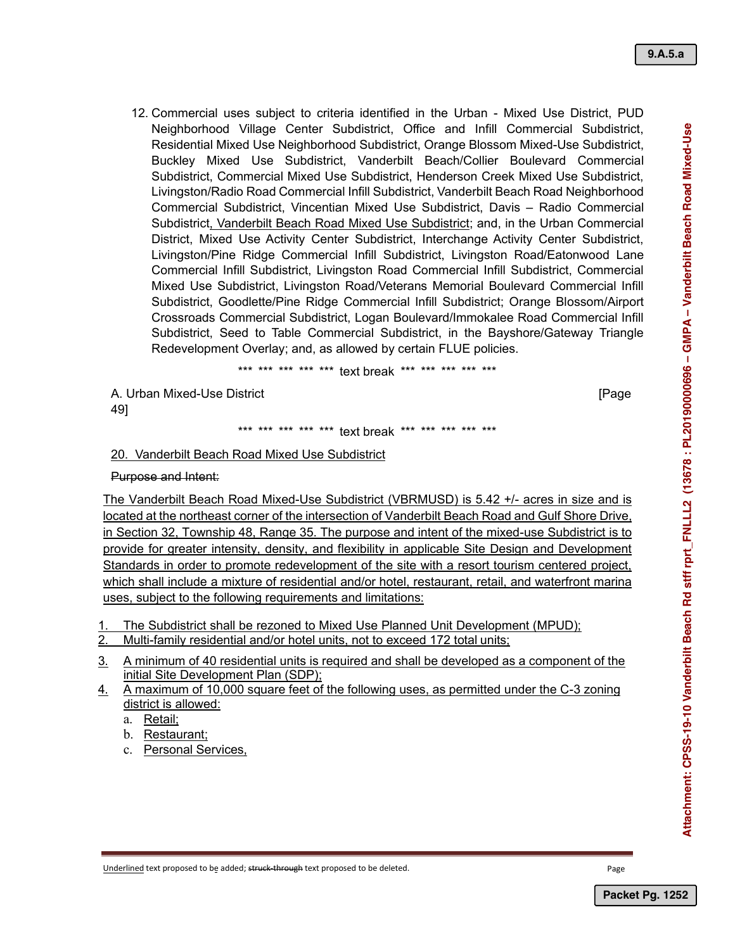12. Commercial uses subject to criteria identified in the Urban - Mixed Use District, PUD Neighborhood Village Center Subdistrict, Office and Infill Commercial Subdistrict, Residential Mixed Use Neighborhood Subdistrict, Orange Blossom Mixed-Use Subdistrict, Buckley Mixed Use Subdistrict, Vanderbilt Beach/Collier Boulevard Commercial Subdistrict, Commercial Mixed Use Subdistrict, Henderson Creek Mixed Use Subdistrict, Livingston/Radio Road Commercial Infill Subdistrict, Vanderbilt Beach Road Neighborhood Commercial Subdistrict, Vincentian Mixed Use Subdistrict, Davis ‒ Radio Commercial Subdistrict, Vanderbilt Beach Road Mixed Use Subdistrict; and, in the Urban Commercial District, Mixed Use Activity Center Subdistrict, Interchange Activity Center Subdistrict, Livingston/Pine Ridge Commercial Infill Subdistrict, Livingston Road/Eatonwood Lane Commercial Infill Subdistrict, Livingston Road Commercial Infill Subdistrict, Commercial Mixed Use Subdistrict, Livingston Road/Veterans Memorial Boulevard Commercial Infill Subdistrict, Goodlette/Pine Ridge Commercial Infill Subdistrict; Orange Blossom/Airport Crossroads Commercial Subdistrict, Logan Boulevard/Immokalee Road Commercial Infill Subdistrict, Seed to Table Commercial Subdistrict, in the Bayshore/Gateway Triangle Redevelopment Overlay; and, as allowed by certain FLUE policies.

\*\*\* \*\*\* \*\*\* \*\*\* \*\*\* text break \*\*\* \*\*\* \*\*\* \*\*\* \*\*\*

A. Urban Mixed-Use District [Page

49]

\*\*\* \*\*\* \*\*\* text break \*\*\* \*\*\* \*\*\* \*\*\* \*\*\*

## 20. Vanderbilt Beach Road Mixed Use Subdistrict

### Purpose and Intent:

The Vanderbilt Beach Road Mixed-Use Subdistrict (VBRMUSD) is 5.42 +/- acres in size and is located at the northeast corner of the intersection of Vanderbilt Beach Road and Gulf Shore Drive, in Section 32, Township 48, Range 35. The purpose and intent of the mixed-use Subdistrict is to provide for greater intensity, density, and flexibility in applicable Site Design and Development Standards in order to promote redevelopment of the site with a resort tourism centered project, which shall include a mixture of residential and/or hotel, restaurant, retail, and waterfront marina uses, subject to the following requirements and limitations:

1. The Subdistrict shall be rezoned to Mixed Use Planned Unit Development (MPUD);

- 2. Multi-family residential and/or hotel units, not to exceed 172 total units;
- 3. A minimum of 40 residential units is required and shall be developed as a component of the initial Site Development Plan (SDP);
- 4. A maximum of 10,000 square feet of the following uses, as permitted under the C-3 zoning district is allowed:
	- a. Retail;

b. Restaurant;

c. Personal Services,